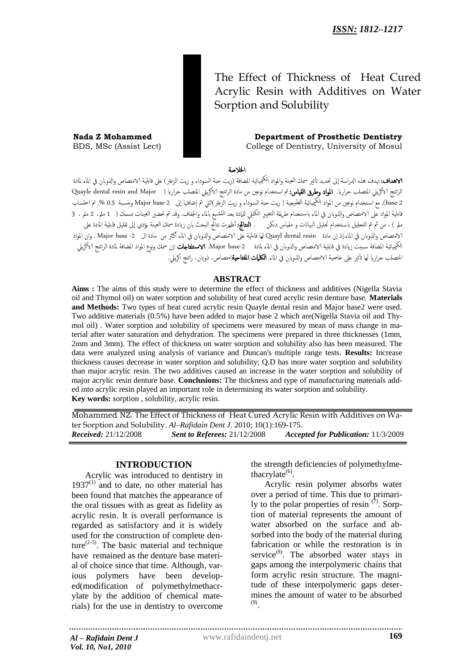# The Effect of Thickness of Heat Cured Acrylic Resin with Additives on Water Sorption and Solubility

**Nada Z Mohammed Department of Prosthetic Dentistry**<br>BDS, MSc (Assist Lect) **Department of Prosthetic Dentistry** College of Dentistry, University of Mosul

اخلالصة

**لاهداف:** تهدف هذه الدراسة إلى تحديد تأثير سمك العينة والمواد الكيمائية المضافة (زيت حبة السوداء و زيت الزعتر ) على قابلية الامتصاص والذوبان في الماء لمادة الراتنج الاكريلي المتصلب حراريا. **المواد وطرق القياس:**تم استخدام نوعين من مادة الراتنج الاكريلي المتصلب حراريا ( Quayle dental resin and Major base-2). مع استخدام نوعين من المواد الكيميائية الطبيعية ( زيت حبة السوداء و زيت الزعتر )التي تم إضافتها إلى 2-Major base وبنسبة 0.5 %. تم احتساب قابلية المواد على الامتصاص والذوبان في الماء باستخدام طريقة التغيير الكتلى للمادة بعد التشبع بالماء والجفاف. وقد تم تحضير العينات بسمك ( 1 ملم، 2 ملم ، 3 ملم ) ، من ثم تم التحليل باستخدام تحليل البيانات و مقياس دنكن . **النتائج:** أظهرت نتائج البحث بان زيادة سمك العينة يؤدي إلى تقليل قابلية المادة على الامتصاص واذلوابن يف املاء.إذ إن مادة resin dental Quayl مها قابوية عىل الامتصاص واذلوابن يف املاء ألرث من مادة ال -2 base Major . وان املواد الكيميائية المضافة سببت زيادة فى قابلية الامتصاص والذوبان فى الماء لمادة Major base-2. ا**لاستلتاجات** :إن سمك ونوع المواد المضافة لمادة الراتنج الاكريلي المتصلب حراريا لها تأثير على خاصية الامتصاص والذوبان في الماء. **الكلمات المفتاحية**امتصاص، ذوبان، راتنج اكريلي.

### **ABSTRACT**

**Aims :** The aims of this study were to determine the effect of thickness and additives (Nigella Stavia oil and Thymol oil) on water sorption and solubility of heat cured acrylic resin denture base. **Materials and Methods:** Two types of heat cured acrylic resin Quayle dental resin and Major base2 were used. Two additive materials (0.5%) have been added to major base 2 which are(Nigella Stavia oil and Thymol oil) . Water sorption and solubility of specimens were measured by mean of mass change in material after water saturation and dehydration. The specimens were prepared in three thicknesses (1mm, 2mm and 3mm). The effect of thickness on water sorption and solubility also has been measured. The data were analyzed using analysis of variance and Duncan's multiple range tests. **Results:** Increase thickness causes decrease in water sorption and solubility; Q.D has more water sorption and solubility than major acrylic resin. The two additives caused an increase in the water sorption and solubility of major acrylic resin denture base. **Conclusions:** The thickness and type of manufacturing materials added into acrylic resin played an important role in determining its water sorption and solubility. **Key words:** sorption , solubility, acrylic resin.

Mohammed NZ. The Effect of Thickness of Heat Cured Acrylic Resin with Additives on Water Sorption and Solubility. *Al–Rafidain Dent J*. 2010; 10(1):169-175. *Received:* 21/12/2008 *Sent to Referees:* 21/12/2008 *Accepted for Publication:* 11/3/2009

# **INTRODUCTION**

Acrylic was introduced to dentistry in  $1937<sup>(1)</sup>$  and to date, no other material has been found that matches the appearance of the oral tissues with as great as fidelity as acrylic resin. It is overall performance is regarded as satisfactory and it is widely used for the construction of complete denture<sup>(2-5)</sup>. The basic material and technique have remained as the denture base material of choice since that time. Although, various polymers have been developed(modification of polymethylmethacrylate by the addition of chemical materials) for the use in dentistry to overcome

the strength deficiencies of polymethylmethacrylate<sup>(6)</sup>.

Acrylic resin polymer absorbs water over a period of time. This due to primarily to the polar properties of resin  $(7)$ . Sorption of material represents the amount of water absorbed on the surface and absorbed into the body of the material during fabrication or while the restoration is in service $^{(8)}$ . The absorbed water stays in gaps among the interpolymeric chains that form acrylic resin structure. The magnitude of these interpolymeric gaps determines the amount of water to be absorbed (9) .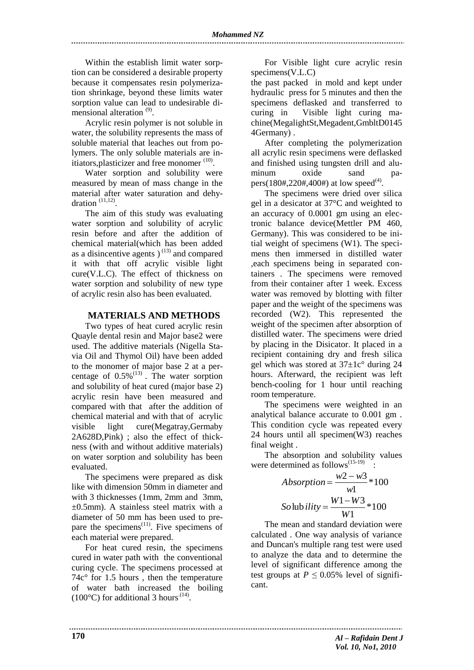Within the establish limit water sorption can be considered a desirable property because it compensates resin polymerization shrinkage, beyond these limits water sorption value can lead to undesirable dimensional alteration<sup>(9)</sup>.

Acrylic resin polymer is not soluble in water, the solubility represents the mass of soluble material that leaches out from polymers. The only soluble materials are initiators, plasticizer and free monomer  $(10)$ .

Water sorption and solubility were measured by mean of mass change in the material after water saturation and dehydration  $(11,12)$ .

The aim of this study was evaluating water sorption and solubility of acrylic resin before and after the addition of chemical material(which has been added as a disincentive agents  $(13)$  and compared it with that off acrylic visible light cure(V.L.C). The effect of thickness on water sorption and solubility of new type of acrylic resin also has been evaluated.

#### **MATERIALS AND METHODS**

Two types of heat cured acrylic resin Quayle dental resin and Major base2 were used. The additive materials (Nigella Stavia Oil and Thymol Oil) have been added to the monomer of major base 2 at a percentage of  $0.5\%$ <sup>(13)</sup>. The water sorption and solubility of heat cured (major base 2) acrylic resin have been measured and compared with that after the addition of chemical material and with that of acrylic visible light cure(Megatray,Germaby 2A628D,Pink) ; also the effect of thickness (with and without additive materials) on water sorption and solubility has been evaluated.

The specimens were prepared as disk like with dimension 50mm in diameter and with 3 thicknesses (1mm, 2mm and 3mm,  $\pm$ 0.5mm). A stainless steel matrix with a diameter of 50 mm has been used to prepare the specimens<sup> $(11)$ </sup>. Five specimens of each material were prepared.

For heat cured resin, the specimens cured in water path with the conventional curing cycle. The specimens processed at 74c° for 1.5 hours , then the temperature of water bath increased the boiling  $(100^{\circ}$ C) for additional 3 hours<sup>(14)</sup>.

For Visible light cure acrylic resin specimens(V.L.C)

the past packed in mold and kept under hydraulic press for 5 minutes and then the specimens deflasked and transferred to curing in Visible light curing machine(MegalightSt,Megadent,GmbltD0145 4Germany) .

After completing the polymerization all acrylic resin specimens were deflasked and finished using tungsten drill and aluminum oxide sand papers(180#,220#,400#) at low speed<sup>(4)</sup>.

The specimens were dried over silica gel in a desicator at 37°C and weighted to an accuracy of 0.0001 gm using an electronic balance device(Mettler PM 460, Germany). This was considered to be initial weight of specimens (W1). The specimens then immersed in distilled water ,each specimens being in separated containers . The specimens were removed from their container after 1 week. Excess water was removed by blotting with filter paper and the weight of the specimens was recorded (W2). This represented the weight of the specimen after absorption of distilled water. The specimens were dried by placing in the Disicator. It placed in a recipient containing dry and fresh silica gel which was stored at  $37\pm1c^{\circ}$  during 24 hours. Afterward, the recipient was left bench-cooling for 1 hour until reaching room temperature.

The specimens were weighted in an analytical balance accurate to 0.001 gm . This condition cycle was repeated every 24 hours until all specimen(W3) reaches final weight .

The absorption and solubility values were determined as follows<sup> $(15-19)$ </sup>.

$$
Absorption = \frac{w2 - w3}{w1} * 100
$$

$$
Solubility = \frac{W1 - W3}{W1} * 100
$$

The mean and standard deviation were calculated . One way analysis of variance and Duncan's multiple rang test were used to analyze the data and to determine the level of significant difference among the test groups at  $P \leq 0.05\%$  level of significant.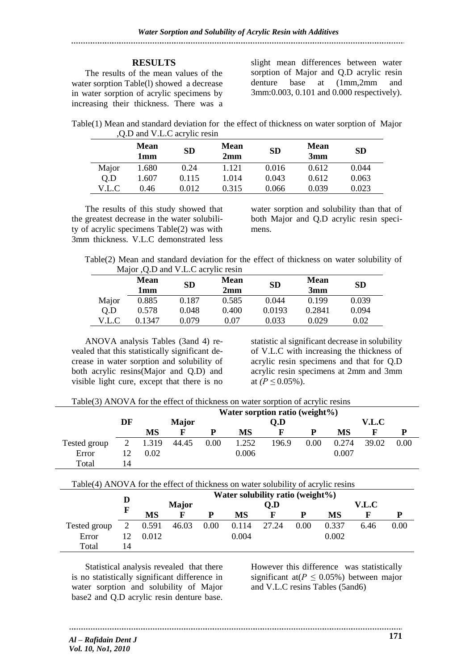## **RESULTS**

The results of the mean values of the water sorption Table(1) showed a decrease in water sorption of acrylic specimens by increasing their thickness. There was a slight mean differences between water sorption of Major and Q.D acrylic resin denture base at (1mm,2mm and 3mm:0.003, 0.101 and 0.000 respectively).

Table(1) Mean and standard deviation for the effect of thickness on water sorption of Major ,Q.D and V.L.C acrylic resin

|       | <b>Mean</b><br>1mm | <b>SD</b> | <b>Mean</b><br>2mm | <b>SD</b> | <b>Mean</b><br>3mm | <b>SD</b> |
|-------|--------------------|-----------|--------------------|-----------|--------------------|-----------|
| Major | 1.680              | 0.24      | 1.121              | 0.016     | 0.612              | 0.044     |
| 0.D   | 1.607              | 0.115     | 1.014              | 0.043     | 0.612              | 0.063     |
| V.L.C | 0.46               | 0.012     | 0.315              | 0.066     | 0.039              | 0.023     |

The results of this study showed that the greatest decrease in the water solubility of acrylic specimens Table(2) was with 3mm thickness. V.L.C demonstrated less water sorption and solubility than that of both Major and Q.D acrylic resin specimens.

 Table(2) Mean and standard deviation for the effect of thickness on water solubility of Major ,Q.D and V.L.C acrylic resin

|       | $\sim$<br><b>Mean</b><br>lmm | <b>SD</b> | <b>Mean</b><br>2mm | <b>SD</b> | <b>Mean</b><br>3mm | <b>SD</b> |
|-------|------------------------------|-----------|--------------------|-----------|--------------------|-----------|
| Major | 0.885                        | 0.187     | 0.585              | 0.044     | 0.199              | 0.039     |
| Q.D   | 0.578                        | 0.048     | 0.400              | 0.0193    | 0.2841             | 0.094     |
| V.L.C | 0.1347                       | 0 079     | 0.07               | 0.033     | 0.029              | $0.02\,$  |

ANOVA analysis Tables (3and 4) revealed that this statistically significant decrease in water sorption and solubility of both acrylic resins(Major and Q.D) and visible light cure, except that there is no

statistic al significant decrease in solubility of V.L.C with increasing the thickness of acrylic resin specimens and that for Q.D acrylic resin specimens at 2mm and 3mm at  $(P \le 0.05\%)$ .

Table(3) ANOVA for the effect of thickness on water sorption of acrylic resins

|              |    |       |              |      |       | Water sorption ratio (weight%) |      |       |       |      |
|--------------|----|-------|--------------|------|-------|--------------------------------|------|-------|-------|------|
|              | DF |       | <b>Major</b> |      |       | Q.D                            |      |       | V.L.C |      |
|              |    | MS    | F            | р    | MS    |                                | D    | МS    | F     |      |
| Tested group |    | 1.319 | 44.45        | 0.00 | 1.252 | 196.9                          | 0.00 | 0.274 | 39.02 | 0.00 |
| Error        | 12 | 0.02  |              |      | 0.006 |                                |      | 0.007 |       |      |
| Total        | 14 |       |              |      |       |                                |      |       |       |      |

|              |    |       |              |      | Water solubility ratio (weight%) |       |      |       |       |      |
|--------------|----|-------|--------------|------|----------------------------------|-------|------|-------|-------|------|
|              | F  |       | <b>Major</b> |      |                                  | Q.D   |      |       | V.L.C |      |
|              |    | MS    | F            | P    | MS                               |       | P    | MS    |       | D    |
| Tested group | 2  | 0.591 | 46.03        | 0.00 | 0.114                            | 27.24 | 0.00 | 0.337 | 6.46  | 0.00 |
| Error        |    | 0.012 |              |      | 0.004                            |       |      | 0.002 |       |      |
| Total        | 14 |       |              |      |                                  |       |      |       |       |      |

Statistical analysis revealed that there is no statistically significant difference in water sorption and solubility of Major base2 and Q.D acrylic resin denture base.

However this difference was statistically significant at( $P \leq 0.05\%$ ) between major and V.L.C resins Tables (5and6)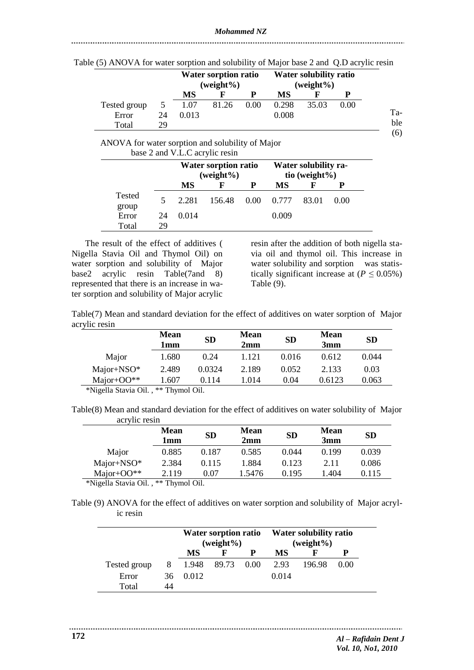|              |    | <b>Water sorption ratio</b><br>(weight%) |       |      | <b>Water solubility ratio</b><br>$(weight\%)$ |       |      |  |  |
|--------------|----|------------------------------------------|-------|------|-----------------------------------------------|-------|------|--|--|
|              |    | MS                                       |       |      | MS                                            |       |      |  |  |
| Tested group |    | 1.07                                     | 81.26 | 0.00 | 0.298                                         | 35.03 | 0.00 |  |  |
| Error        | 24 | 0.013                                    |       |      | 0.008                                         |       |      |  |  |
| Total        | 29 |                                          |       |      |                                               |       |      |  |  |

Table (5) ANOVA for water sorption and solubility of Major base 2 and Q.D acrylic resin

ANOVA for water sorption and solubility of Major base 2 and V.L.C acrylic resin

|                 |    |       | <b>Water sorption ratio</b><br>$(weight\%)$ |   | Water solubility ra-<br>tio (weight $%$ ) |       |      |  |  |
|-----------------|----|-------|---------------------------------------------|---|-------------------------------------------|-------|------|--|--|
|                 |    | MS    | F                                           | P | MS                                        | F     |      |  |  |
| Tested<br>group |    | 2.281 | 156.48                                      |   | $0.00 \quad 0.777$                        | 83.01 | 0.00 |  |  |
| Error           | 24 | 0.014 |                                             |   | 0.009                                     |       |      |  |  |
| Total           | 29 |       |                                             |   |                                           |       |      |  |  |

The result of the effect of additives ( Nigella Stavia Oil and Thymol Oil) on water sorption and solubility of Major base2 acrylic resin Table(7and 8) represented that there is an increase in water sorption and solubility of Major acrylic

resin after the addition of both nigella stavia oil and thymol oil. This increase in water solubility and sorption was statistically significant increase at  $(P \le 0.05\%)$ Table (9).

Table(7) Mean and standard deviation for the effect of additives on water sorption of Major acrylic resin

|                                                              | <b>Mean</b><br>1mm     | <b>SD</b> | Mean<br>2mm | <b>SD</b> | <b>Mean</b><br>3mm | <b>SD</b> |
|--------------------------------------------------------------|------------------------|-----------|-------------|-----------|--------------------|-----------|
| Major                                                        | 1.680                  | 0.24      | 1.121       | 0.016     | 0.612              | 0.044     |
| $Major + NSO^*$                                              | 2.489                  | 0.0324    | 2.189       | 0.052     | 2.133              | 0.03      |
| Major+ $OO$ **                                               | 1.607                  | 0.114     | 1.014       | 0.04      | 0.6123             | 0.063     |
| $*NI_{\infty}11_{\infty}$ $C_{\infty}1_{\infty}$ $\cap$ $11$ | $*$ Thrms 1 $\Omega$ 1 |           |             |           |                    |           |

\*Nigella Stavia Oil. , \*\* Thymol Oil.

Table(8) Mean and standard deviation for the effect of additives on water solubility of Major acrylic resin

|                       | <b>Mean</b><br>1mm | <b>SD</b> | <b>Mean</b><br>2mm | <b>SD</b> | <b>Mean</b><br>3mm | <b>SD</b> |
|-----------------------|--------------------|-----------|--------------------|-----------|--------------------|-----------|
| Major                 | 0.885              | 0.187     | 0.585              | 0.044     | 0.199              | 0.039     |
| Major+NSO*            | 2.384              | 0.115     | 1.884              | 0.123     | 2.11               | 0.086     |
| Major+ $OO$ **        | 2.119              | 0.07      | 1.5476             | 0.195     | L 404              | 0.115     |
| .<br>$\cdot$ $ \cdot$ | .                  |           |                    |           |                    |           |

\*Nigella Stavia Oil. , \*\* Thymol Oil.

Table (9) ANOVA for the effect of additives on water sorption and solubility of Major acrylic resin

|              |    |       | <b>Water sorption ratio</b><br>$(weight\%)$ |      | <b>Water solubility ratio</b><br>$(weight\%)$ |        |      |  |
|--------------|----|-------|---------------------------------------------|------|-----------------------------------------------|--------|------|--|
|              |    | MS    |                                             |      |                                               |        |      |  |
| Tested group | 8  | 1.948 | 89.73                                       | 0.00 | 2.93                                          | 196.98 | 0.00 |  |
| Error        | 36 | 0.012 |                                             |      | 0.014                                         |        |      |  |
| Total        |    |       |                                             |      |                                               |        |      |  |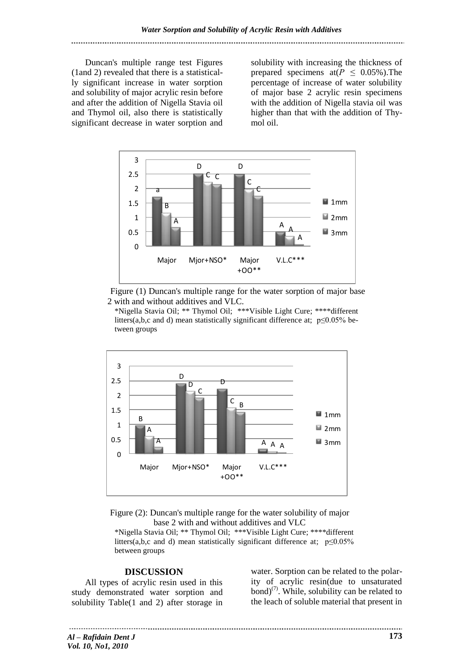Duncan's multiple range test Figures (1and 2) revealed that there is a statistically significant increase in water sorption and solubility of major acrylic resin before and after the addition of Nigella Stavia oil and Thymol oil, also there is statistically significant decrease in water sorption and

solubility with increasing the thickness of prepared specimens at( $P \leq 0.05\%$ ). The percentage of increase of water solubility of major base 2 acrylic resin specimens with the addition of Nigella stavia oil was higher than that with the addition of Thymol oil.



 Figure (1) Duncan's multiple range for the water sorption of major base 2 with and without additives and VLC.

\*Nigella Stavia Oil; \*\* Thymol Oil; \*\*\*Visible Light Cure; \*\*\*\*different litters(a,b,c and d) mean statistically significant difference at;  $p \le 0.05\%$  between groups



Figure (2): Duncan's multiple range for the water solubility of major base 2 with and without additives and VLC

\*Nigella Stavia Oil; \*\* Thymol Oil; \*\*\*Visible Light Cure; \*\*\*\*different litters(a,b,c and d) mean statistically significant difference at; p≤0.05% between groups

#### **DISCUSSION**

All types of acrylic resin used in this study demonstrated water sorption and solubility Table(1 and 2) after storage in water. Sorption can be related to the polarity of acrylic resin(due to unsaturated bond)<sup>(7)</sup>. While, solubility can be related to the leach of soluble material that present in

*Al – Rafidain Dent J Vol. 10, No1, 2010*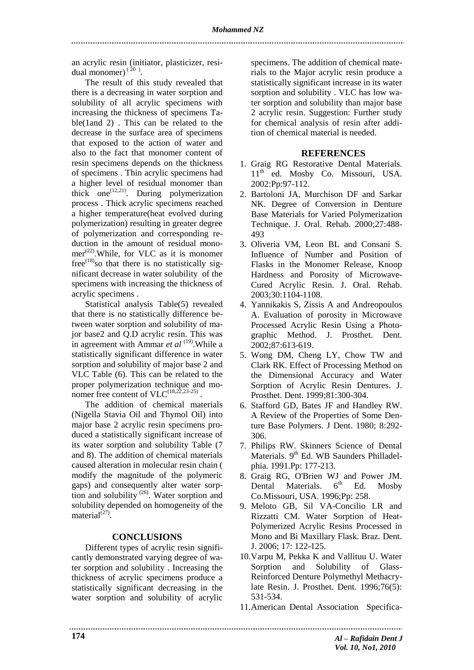an acrylic resin (initiator, plasticizer, residual monomer) $(20)$ .

The result of this study revealed that there is a decreasing in water sorption and solubility of all acrylic specimens with increasing the thickness of specimens Table(1and 2) . This can be related to the decrease in the surface area of specimens that exposed to the action of water and also to the fact that monomer content of resin specimens depends on the thickness of specimens . Thin acrylic specimens had a higher level of residual monomer than thick one<sup> $(12,21)$ </sup>. During polymerization process . Thick acrylic specimens reached a higher temperature(heat evolved during polymerization) resulting in greater degree of polymerization and corresponding reduction in the amount of residual monomer<sup>(22)</sup>. While, for VLC as it is monomer  $free^{(18)}$ so that there is no statistically significant decrease in water solubility of the specimens with increasing the thickness of acrylic specimens .

Statistical analysis Table(5) revealed that there is no statistically difference between water sorption and solubility of major base2 and Q.D acrylic resin. This was in agreement with Ammar *et al* <sup>(19)</sup>. While a statistically significant difference in water sorption and solubility of major base 2 and VLC Table (6). This can be related to the proper polymerization technique and monomer free content of  $VLC^{(18,22,23-25)}$ .

The addition of chemical materials (Nigella Stavia Oil and Thymol Oil) into major base 2 acrylic resin specimens produced a statistically significant increase of its water sorption and solubility Table (7 and 8). The addition of chemical materials caused alteration in molecular resin chain ( modify the magnitude of the polymeric gaps) and consequently alter water sorption and solubility  $^{(26)}$ . Water sorption and solubility depended on homogeneity of the material $^{(27)}$ .

## **CONCLUSIONS**

Different types of acrylic resin significantly demonstrated varying degree of water sorption and solubility . Increasing the thickness of acrylic specimens produce a statistically significant decreasing in the water sorption and solubility of acrylic

specimens. The addition of chemical materials to the Major acrylic resin produce a statistically significant increase in its water sorption and solubility . VLC has low water sorption and solubility than major base 2 acrylic resin. Suggestion: Further study for chemical analysis of resin after addition of chemical material is needed.

#### **REFERENCES**

- 1. Graig RG Restorative Dental Materials. 11<sup>th</sup> ed. Mosby Co. Missouri, USA. 2002:Pp:97-112.
- 2. Bartoloni JA, Murchison DF and Sarkar NK. Degree of Conversion in Denture Base Materials for Varied Polymerization Technique. J. Oral. Rehab. 2000;27:488- 493
- 3. Oliveria VM, Leon BL and Consani S. Influence of Number and Position of Flasks in the Monomer Release, Knoop Hardness and Porosity of Microwave-Cured Acrylic Resin. J. Oral. Rehab. 2003;30:1104-1108.
- 4. Yannikakis S, Zissis A and Andreopoulos A. Evaluation of porosity in Microwave Processed Acrylic Resin Using a Photographic Method. J. Prosthet. Dent. 2002;87:613-619.
- 5. Wong DM, Cheng LY, Chow TW and Clark RK. Effect of Processing Method on the Dimensional Accuracy and Water Sorption of Acrylic Resin Dentures. J. Prosthet. Dent. 1999;81:300-304.
- 6. Stafford GD, Bates JF and Handley RW. A Review of the Properties of Some Denture Base Polymers. J Dent. 1980; 8:292- 306.
- 7. Philips RW. Skinners Science of Dental Materials. 9<sup>th</sup> Ed. WB Saunders Philladelphia. 1991.Pp: 177-213.
- 8. Graig RG, O'Brien WJ and Power JM. Dental Materials.  $6<sup>th</sup>$  Ed. Mosby Co.Missouri, USA. 1996;Pp: 258.
- 9. Meloto GB, Sil VA-Concilio LR and Rizzatti CM. Water Sorption of Heat-Polymerized Acrylic Resins Processed in Mono and Bi Maxillary Flask. Braz. Dent. J. 2006; 17: 122-125.
- 10.Varpu M, Pekka K and Vallituu U. Water Sorption and Solubility of Glass-Reinforced Denture Polymethyl Methacrylate Resin. J. Prosthet. Dent. 1996;76(5): 531-534.
- 11.American Dental Association Specifica-